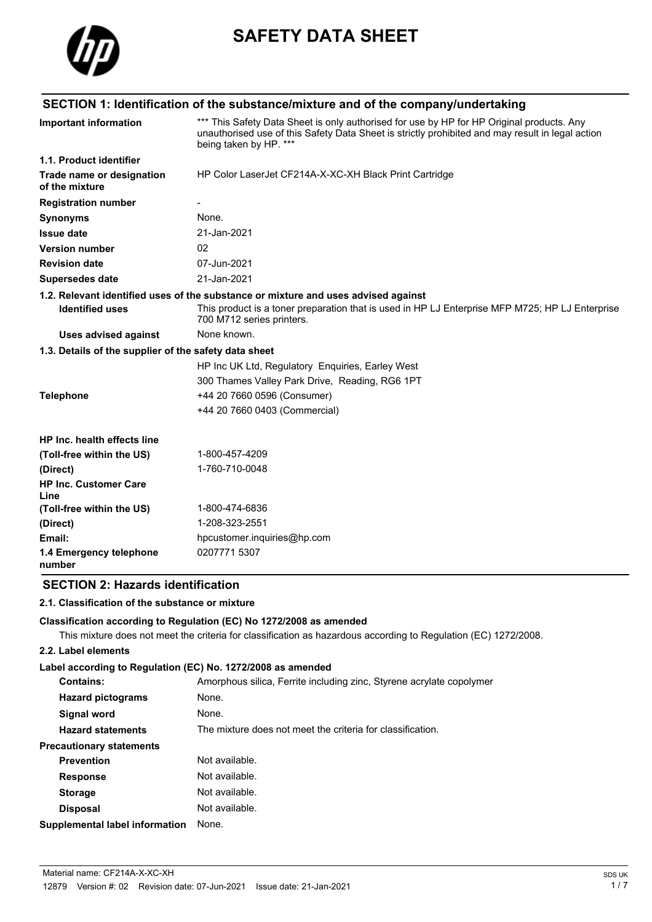

# **SAFETY DATA SHEET**

# **SECTION 1: Identification of the substance/mixture and of the company/undertaking**

| <b>Important information</b>                          | *** This Safety Data Sheet is only authorised for use by HP for HP Original products. Any<br>unauthorised use of this Safety Data Sheet is strictly prohibited and may result in legal action<br>being taken by HP. *** |
|-------------------------------------------------------|-------------------------------------------------------------------------------------------------------------------------------------------------------------------------------------------------------------------------|
| 1.1. Product identifier                               |                                                                                                                                                                                                                         |
| Trade name or designation<br>of the mixture           | HP Color LaserJet CF214A-X-XC-XH Black Print Cartridge                                                                                                                                                                  |
| <b>Registration number</b>                            |                                                                                                                                                                                                                         |
| <b>Synonyms</b>                                       | None.                                                                                                                                                                                                                   |
| <b>Issue date</b>                                     | 21-Jan-2021                                                                                                                                                                                                             |
| <b>Version number</b>                                 | 02                                                                                                                                                                                                                      |
| <b>Revision date</b>                                  | 07-Jun-2021                                                                                                                                                                                                             |
| <b>Supersedes date</b>                                | 21-Jan-2021                                                                                                                                                                                                             |
|                                                       | 1.2. Relevant identified uses of the substance or mixture and uses advised against                                                                                                                                      |
| <b>Identified uses</b>                                | This product is a toner preparation that is used in HP LJ Enterprise MFP M725; HP LJ Enterprise<br>700 M712 series printers.                                                                                            |
| <b>Uses advised against</b>                           | None known.                                                                                                                                                                                                             |
| 1.3. Details of the supplier of the safety data sheet |                                                                                                                                                                                                                         |
|                                                       | HP Inc UK Ltd, Regulatory Enquiries, Earley West                                                                                                                                                                        |
|                                                       | 300 Thames Valley Park Drive, Reading, RG6 1PT                                                                                                                                                                          |
| <b>Telephone</b>                                      | +44 20 7660 0596 (Consumer)                                                                                                                                                                                             |
|                                                       | +44 20 7660 0403 (Commercial)                                                                                                                                                                                           |
| HP Inc. health effects line                           |                                                                                                                                                                                                                         |
| (Toll-free within the US)                             | 1-800-457-4209                                                                                                                                                                                                          |
| (Direct)                                              | 1-760-710-0048                                                                                                                                                                                                          |
| <b>HP Inc. Customer Care</b><br>Line                  |                                                                                                                                                                                                                         |
| (Toll-free within the US)                             | 1-800-474-6836                                                                                                                                                                                                          |
| (Direct)                                              | 1-208-323-2551                                                                                                                                                                                                          |
| Email:                                                | hpcustomer.inquiries@hp.com                                                                                                                                                                                             |
| 1.4 Emergency telephone<br>number                     | 0207771 5307                                                                                                                                                                                                            |

## **SECTION 2: Hazards identification**

#### **2.1. Classification of the substance or mixture**

#### **Classification according to Regulation (EC) No 1272/2008 as amended**

This mixture does not meet the criteria for classification as hazardous according to Regulation (EC) 1272/2008.

#### **2.2. Label elements**

#### **Label according to Regulation (EC) No. 1272/2008 as amended**

| <b>Contains:</b>                | Amorphous silica, Ferrite including zinc, Styrene acrylate copolymer |
|---------------------------------|----------------------------------------------------------------------|
| <b>Hazard pictograms</b>        | None.                                                                |
| Signal word                     | None.                                                                |
| <b>Hazard statements</b>        | The mixture does not meet the criteria for classification.           |
| <b>Precautionary statements</b> |                                                                      |
| <b>Prevention</b>               | Not available.                                                       |
| <b>Response</b>                 | Not available.                                                       |
| <b>Storage</b>                  | Not available.                                                       |
| <b>Disposal</b>                 | Not available.                                                       |
| Supplemental label information  | None.                                                                |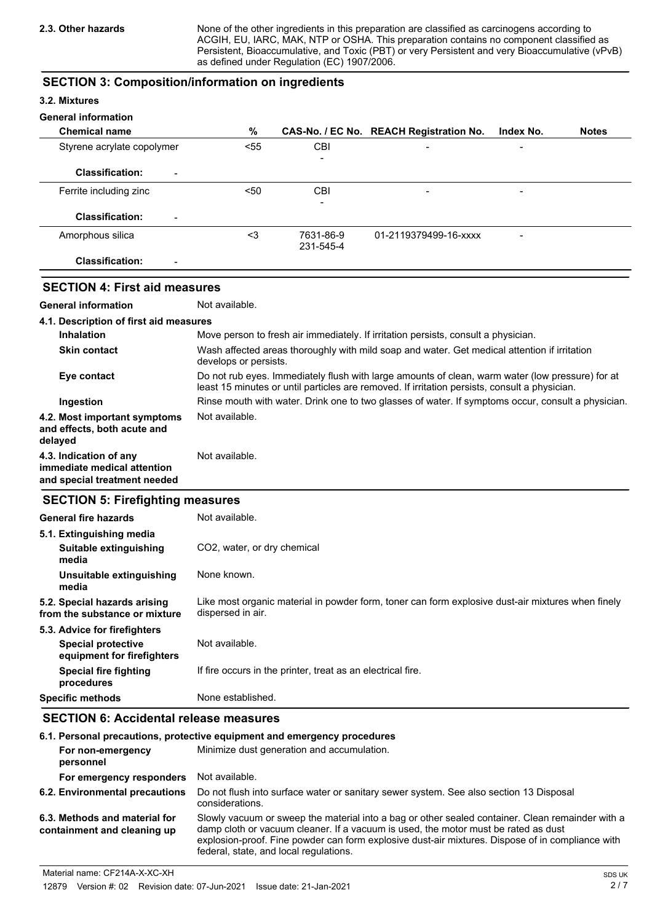None of the other ingredients in this preparation are classified as carcinogens according to ACGIH, EU, IARC, MAK, NTP or OSHA. This preparation contains no component classified as Persistent, Bioaccumulative, and Toxic (PBT) or very Persistent and very Bioaccumulative (vPvB) as defined under Regulation (EC) 1907/2006.

### **SECTION 3: Composition/information on ingredients**

#### **3.2. Mixtures**

#### **General information**

| <b>Chemical name</b>                               | %    |                          | CAS-No. / EC No. REACH Registration No. | Index No.                | <b>Notes</b> |
|----------------------------------------------------|------|--------------------------|-----------------------------------------|--------------------------|--------------|
| Styrene acrylate copolymer                         | < 55 | CBI                      | $\qquad \qquad$                         | $\overline{\phantom{0}}$ |              |
|                                                    |      | $\overline{\phantom{a}}$ |                                         |                          |              |
| <b>Classification:</b><br>$\overline{\phantom{a}}$ |      |                          |                                         |                          |              |
| Ferrite including zinc                             | $50$ | <b>CBI</b>               | $\overline{\phantom{a}}$                | $\overline{\phantom{0}}$ |              |
|                                                    |      | ۰                        |                                         |                          |              |
| <b>Classification:</b><br>$\overline{\phantom{a}}$ |      |                          |                                         |                          |              |
| Amorphous silica                                   | <3   | 7631-86-9                | 01-2119379499-16-xxxx                   | -                        |              |
|                                                    |      | 231-545-4                |                                         |                          |              |
| <b>Classification:</b><br>$\overline{\phantom{0}}$ |      |                          |                                         |                          |              |

# **SECTION 4: First aid measures**

**General information** Not available.

| 4.1. Description of first aid measures                                                |                                                                                                                                                                                                   |
|---------------------------------------------------------------------------------------|---------------------------------------------------------------------------------------------------------------------------------------------------------------------------------------------------|
| <b>Inhalation</b>                                                                     | Move person to fresh air immediately. If irritation persists, consult a physician.                                                                                                                |
| <b>Skin contact</b>                                                                   | Wash affected areas thoroughly with mild soap and water. Get medical attention if irritation<br>develops or persists.                                                                             |
| Eye contact                                                                           | Do not rub eyes. Immediately flush with large amounts of clean, warm water (low pressure) for at<br>least 15 minutes or until particles are removed. If irritation persists, consult a physician. |
| Ingestion                                                                             | Rinse mouth with water. Drink one to two glasses of water. If symptoms occur, consult a physician.                                                                                                |
| 4.2. Most important symptoms<br>and effects, both acute and<br>delayed                | Not available.                                                                                                                                                                                    |
| 4.3. Indication of any<br>immediate medical attention<br>and special treatment needed | Not available.                                                                                                                                                                                    |

#### **SECTION 5: Firefighting measures**

| Not available.                                                                                                         |
|------------------------------------------------------------------------------------------------------------------------|
|                                                                                                                        |
| CO2, water, or dry chemical                                                                                            |
| None known.                                                                                                            |
| Like most organic material in powder form, toner can form explosive dust-air mixtures when finely<br>dispersed in air. |
|                                                                                                                        |
| Not available.                                                                                                         |
| If fire occurs in the printer, treat as an electrical fire.                                                            |
| None established.                                                                                                      |
|                                                                                                                        |

# **SECTION 6: Accidental release measures**

| 6.1. Personal precautions, protective equipment and emergency procedures |                                                                                                                                                                                                                                                                                                                                      |  |  |
|--------------------------------------------------------------------------|--------------------------------------------------------------------------------------------------------------------------------------------------------------------------------------------------------------------------------------------------------------------------------------------------------------------------------------|--|--|
| For non-emergency<br>personnel                                           | Minimize dust generation and accumulation.                                                                                                                                                                                                                                                                                           |  |  |
| For emergency responders                                                 | Not available.                                                                                                                                                                                                                                                                                                                       |  |  |
| 6.2. Environmental precautions                                           | Do not flush into surface water or sanitary sewer system. See also section 13 Disposal<br>considerations.                                                                                                                                                                                                                            |  |  |
| 6.3. Methods and material for<br>containment and cleaning up             | Slowly vacuum or sweep the material into a bag or other sealed container. Clean remainder with a<br>damp cloth or vacuum cleaner. If a vacuum is used, the motor must be rated as dust<br>explosion-proof. Fine powder can form explosive dust-air mixtures. Dispose of in compliance with<br>federal, state, and local regulations. |  |  |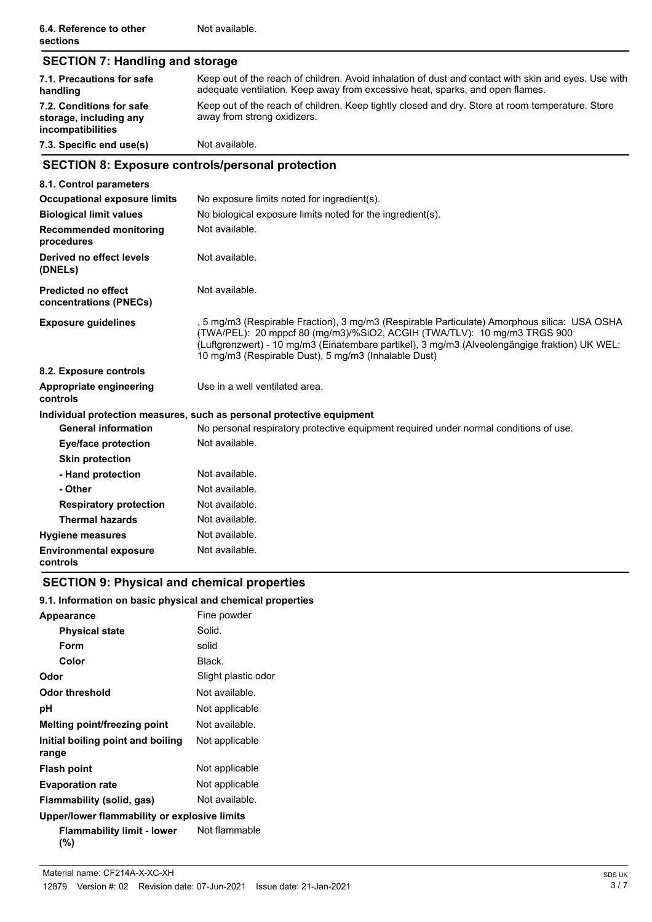| <b>SECTION 7: Handling and storage</b>                                  |                                                                                                                                                                                                                                                                                                                                    |
|-------------------------------------------------------------------------|------------------------------------------------------------------------------------------------------------------------------------------------------------------------------------------------------------------------------------------------------------------------------------------------------------------------------------|
| 7.1. Precautions for safe<br>handling                                   | Keep out of the reach of children. Avoid inhalation of dust and contact with skin and eyes. Use with<br>adequate ventilation. Keep away from excessive heat, sparks, and open flames.                                                                                                                                              |
| 7.2. Conditions for safe<br>storage, including any<br>incompatibilities | Keep out of the reach of children. Keep tightly closed and dry. Store at room temperature. Store<br>away from strong oxidizers.                                                                                                                                                                                                    |
| 7.3. Specific end use(s)                                                | Not available.                                                                                                                                                                                                                                                                                                                     |
| <b>SECTION 8: Exposure controls/personal protection</b>                 |                                                                                                                                                                                                                                                                                                                                    |
| 8.1. Control parameters                                                 |                                                                                                                                                                                                                                                                                                                                    |
| <b>Occupational exposure limits</b>                                     | No exposure limits noted for ingredient(s).                                                                                                                                                                                                                                                                                        |
| <b>Biological limit values</b>                                          | No biological exposure limits noted for the ingredient(s).                                                                                                                                                                                                                                                                         |
| <b>Recommended monitoring</b><br>procedures                             | Not available.                                                                                                                                                                                                                                                                                                                     |
| Derived no effect levels<br>(DNELs)                                     | Not available.                                                                                                                                                                                                                                                                                                                     |
| <b>Predicted no effect</b><br>concentrations (PNECs)                    | Not available.                                                                                                                                                                                                                                                                                                                     |
| <b>Exposure guidelines</b>                                              | , 5 mg/m3 (Respirable Fraction), 3 mg/m3 (Respirable Particulate) Amorphous silica:  USA OSHA<br>(TWA/PEL): 20 mppcf 80 (mg/m3)/%SiO2, ACGIH (TWA/TLV): 10 mg/m3 TRGS 900<br>(Luftgrenzwert) - 10 mg/m3 (Einatembare partikel), 3 mg/m3 (Alveolengängige fraktion) UK WEL:<br>10 mg/m3 (Respirable Dust), 5 mg/m3 (Inhalable Dust) |
| 8.2. Exposure controls                                                  |                                                                                                                                                                                                                                                                                                                                    |
| Appropriate engineering<br>controls                                     | Use in a well ventilated area.                                                                                                                                                                                                                                                                                                     |
|                                                                         | Individual protection measures, such as personal protective equipment                                                                                                                                                                                                                                                              |
| <b>General information</b>                                              | No personal respiratory protective equipment required under normal conditions of use.                                                                                                                                                                                                                                              |
| <b>Eye/face protection</b>                                              | Not available.                                                                                                                                                                                                                                                                                                                     |
| <b>Skin protection</b>                                                  |                                                                                                                                                                                                                                                                                                                                    |
| - Hand protection                                                       | Not available.                                                                                                                                                                                                                                                                                                                     |
| - Other                                                                 | Not available.                                                                                                                                                                                                                                                                                                                     |
| <b>Respiratory protection</b>                                           | Not available.                                                                                                                                                                                                                                                                                                                     |
| <b>Thermal hazards</b>                                                  | Not available.                                                                                                                                                                                                                                                                                                                     |
| <b>Hygiene measures</b>                                                 | Not available.                                                                                                                                                                                                                                                                                                                     |
| <b>Environmental exposure</b><br>controls                               | Not available.                                                                                                                                                                                                                                                                                                                     |

# **SECTION 9: Physical and chemical properties**

## **9.1. Information on basic physical and chemical properties**

| Appearance                                   | Fine powder         |
|----------------------------------------------|---------------------|
| <b>Physical state</b>                        | Solid.              |
| Form                                         | solid               |
| Color                                        | Black.              |
| Odor                                         | Slight plastic odor |
| Odor threshold                               | Not available.      |
| рH                                           | Not applicable      |
| Melting point/freezing point                 | Not available.      |
| Initial boiling point and boiling<br>range   | Not applicable      |
| <b>Flash point</b>                           | Not applicable      |
| <b>Evaporation rate</b>                      | Not applicable      |
| Flammability (solid, gas)                    | Not available.      |
| Upper/lower flammability or explosive limits |                     |
| Flammability limit - lower<br>(%)            | Not flammable       |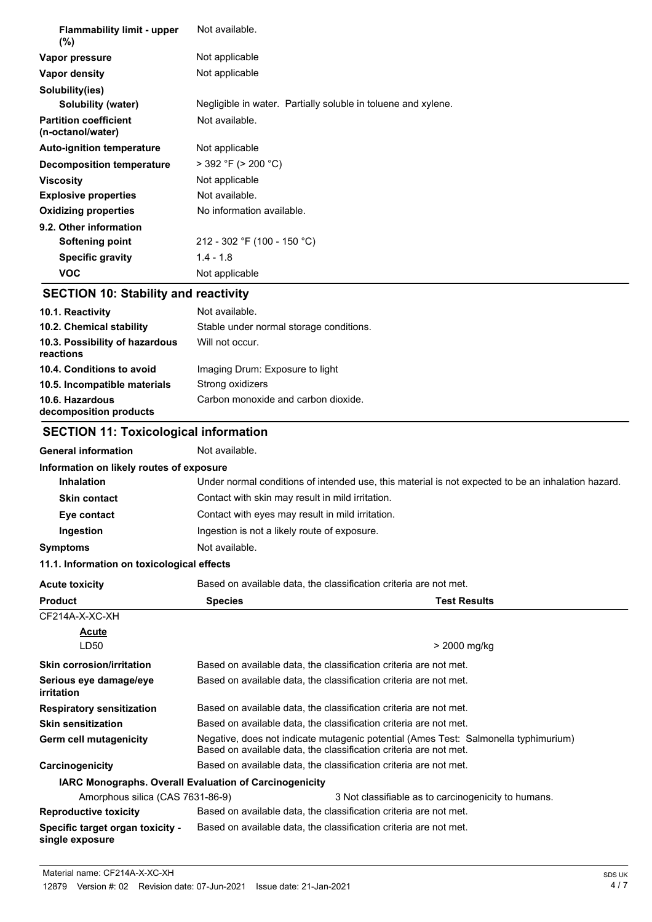| Not available.                                                |
|---------------------------------------------------------------|
| Not applicable                                                |
| Not applicable                                                |
|                                                               |
| Negligible in water. Partially soluble in toluene and xylene. |
| Not available.                                                |
| Not applicable                                                |
| $>$ 392 °F ( $>$ 200 °C)                                      |
| Not applicable                                                |
| Not available.                                                |
| No information available.                                     |
|                                                               |
| 212 - 302 °F (100 - 150 °C)                                   |
| $1.4 - 1.8$                                                   |
| Not applicable                                                |
|                                                               |

# **SECTION 10: Stability and reactivity**

| 10.1. Reactivity                            | Not available.                          |
|---------------------------------------------|-----------------------------------------|
| 10.2. Chemical stability                    | Stable under normal storage conditions. |
| 10.3. Possibility of hazardous<br>reactions | Will not occur.                         |
| 10.4. Conditions to avoid                   | Imaging Drum: Exposure to light         |
| 10.5. Incompatible materials                | Strong oxidizers                        |
| 10.6. Hazardous<br>decomposition products   | Carbon monoxide and carbon dioxide.     |

# **SECTION 11: Toxicological information**

| <b>General information</b>                             | Not available.                                                                                     |                                                                                                                                                          |  |
|--------------------------------------------------------|----------------------------------------------------------------------------------------------------|----------------------------------------------------------------------------------------------------------------------------------------------------------|--|
| Information on likely routes of exposure               |                                                                                                    |                                                                                                                                                          |  |
| <b>Inhalation</b>                                      | Under normal conditions of intended use, this material is not expected to be an inhalation hazard. |                                                                                                                                                          |  |
| <b>Skin contact</b>                                    | Contact with skin may result in mild irritation.                                                   |                                                                                                                                                          |  |
| Eye contact                                            | Contact with eyes may result in mild irritation.                                                   |                                                                                                                                                          |  |
| Ingestion                                              | Ingestion is not a likely route of exposure.                                                       |                                                                                                                                                          |  |
| <b>Symptoms</b>                                        | Not available.                                                                                     |                                                                                                                                                          |  |
| 11.1. Information on toxicological effects             |                                                                                                    |                                                                                                                                                          |  |
| <b>Acute toxicity</b>                                  |                                                                                                    | Based on available data, the classification criteria are not met.                                                                                        |  |
| <b>Product</b>                                         | <b>Species</b>                                                                                     | <b>Test Results</b>                                                                                                                                      |  |
| CF214A-X-XC-XH                                         |                                                                                                    |                                                                                                                                                          |  |
| Acute                                                  |                                                                                                    |                                                                                                                                                          |  |
| LD50                                                   |                                                                                                    | > 2000 mg/kg                                                                                                                                             |  |
| <b>Skin corrosion/irritation</b>                       |                                                                                                    | Based on available data, the classification criteria are not met.                                                                                        |  |
| Serious eye damage/eye<br>irritation                   |                                                                                                    | Based on available data, the classification criteria are not met.                                                                                        |  |
| <b>Respiratory sensitization</b>                       |                                                                                                    | Based on available data, the classification criteria are not met.                                                                                        |  |
| <b>Skin sensitization</b>                              |                                                                                                    | Based on available data, the classification criteria are not met.                                                                                        |  |
| Germ cell mutagenicity                                 |                                                                                                    | Negative, does not indicate mutagenic potential (Ames Test: Salmonella typhimurium)<br>Based on available data, the classification criteria are not met. |  |
| Carcinogenicity                                        |                                                                                                    | Based on available data, the classification criteria are not met.                                                                                        |  |
| IARC Monographs. Overall Evaluation of Carcinogenicity |                                                                                                    |                                                                                                                                                          |  |
| Amorphous silica (CAS 7631-86-9)                       |                                                                                                    | 3 Not classifiable as to carcinogenicity to humans.                                                                                                      |  |
| <b>Reproductive toxicity</b>                           |                                                                                                    | Based on available data, the classification criteria are not met.                                                                                        |  |
| Specific target organ toxicity -<br>single exposure    |                                                                                                    | Based on available data, the classification criteria are not met.                                                                                        |  |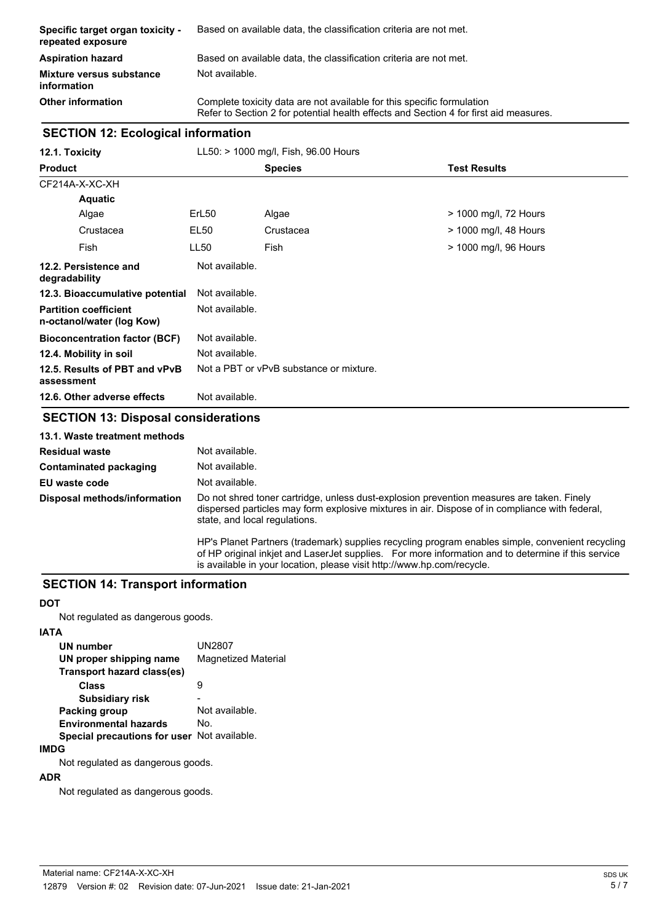| <b>Specific target organ toxicity -</b><br>repeated exposure | Based on available data, the classification criteria are not met.                                                                                               |
|--------------------------------------------------------------|-----------------------------------------------------------------------------------------------------------------------------------------------------------------|
| <b>Aspiration hazard</b>                                     | Based on available data, the classification criteria are not met.                                                                                               |
| <b>Mixture versus substance</b><br>information               | Not available.                                                                                                                                                  |
| <b>Other information</b>                                     | Complete toxicity data are not available for this specific formulation<br>Refer to Section 2 for potential health effects and Section 4 for first aid measures. |

## **SECTION 12: Ecological information**

| 12.1. Toxicity                                            | LL50: > 1000 mg/l, Fish, 96.00 Hours |                                                                                           |                       |
|-----------------------------------------------------------|--------------------------------------|-------------------------------------------------------------------------------------------|-----------------------|
| <b>Product</b>                                            |                                      | <b>Species</b>                                                                            | <b>Test Results</b>   |
| CF214A-X-XC-XH                                            |                                      |                                                                                           |                       |
| <b>Aquatic</b>                                            |                                      |                                                                                           |                       |
| Algae                                                     | ErL <sub>50</sub>                    | Algae                                                                                     | > 1000 mg/l, 72 Hours |
| Crustacea                                                 | <b>EL50</b>                          | Crustacea                                                                                 | > 1000 mg/l, 48 Hours |
| Fish                                                      | <b>LL50</b>                          | Fish                                                                                      | > 1000 mg/l, 96 Hours |
| 12.2. Persistence and<br>degradability                    | Not available.                       |                                                                                           |                       |
| 12.3. Bioaccumulative potential                           | Not available.                       |                                                                                           |                       |
| <b>Partition coefficient</b><br>n-octanol/water (log Kow) | Not available.                       |                                                                                           |                       |
| <b>Bioconcentration factor (BCF)</b>                      | Not available.                       |                                                                                           |                       |
| 12.4. Mobility in soil                                    | Not available.                       |                                                                                           |                       |
| 12.5. Results of PBT and vPvB<br>assessment               |                                      | Not a PBT or vPvB substance or mixture.                                                   |                       |
| 12.6. Other adverse effects                               | Not available.                       |                                                                                           |                       |
| <b>SECTION 13: Disposal considerations</b>                |                                      |                                                                                           |                       |
| 13.1. Waste treatment methods                             |                                      |                                                                                           |                       |
| <b>Residual waste</b>                                     | Not available.                       |                                                                                           |                       |
| Contaminated packaging                                    | Not available.                       |                                                                                           |                       |
| EU waste code                                             | Not available.                       |                                                                                           |                       |
| Disposal methods/information                              |                                      | Do not shred toner cartridge, unless dust-explosion prevention measures are taken. Finely |                       |

dispersed particles may form explosive mixtures in air. Dispose of in compliance with federal, state, and local regulations.

HP's Planet Partners (trademark) supplies recycling program enables simple, convenient recycling of HP original inkjet and LaserJet supplies. For more information and to determine if this service is available in your location, please visit http://www.hp.com/recycle.

#### **SECTION 14: Transport information**

#### **DOT**

Not regulated as dangerous goods.

### **IATA**

| <b>UN2807</b><br><b>Magnetized Material</b> |
|---------------------------------------------|
|                                             |
|                                             |
| Not available.                              |
|                                             |
| Special precautions for user Not available. |
|                                             |

### **IMDG**

Not regulated as dangerous goods.

#### **ADR**

Not regulated as dangerous goods.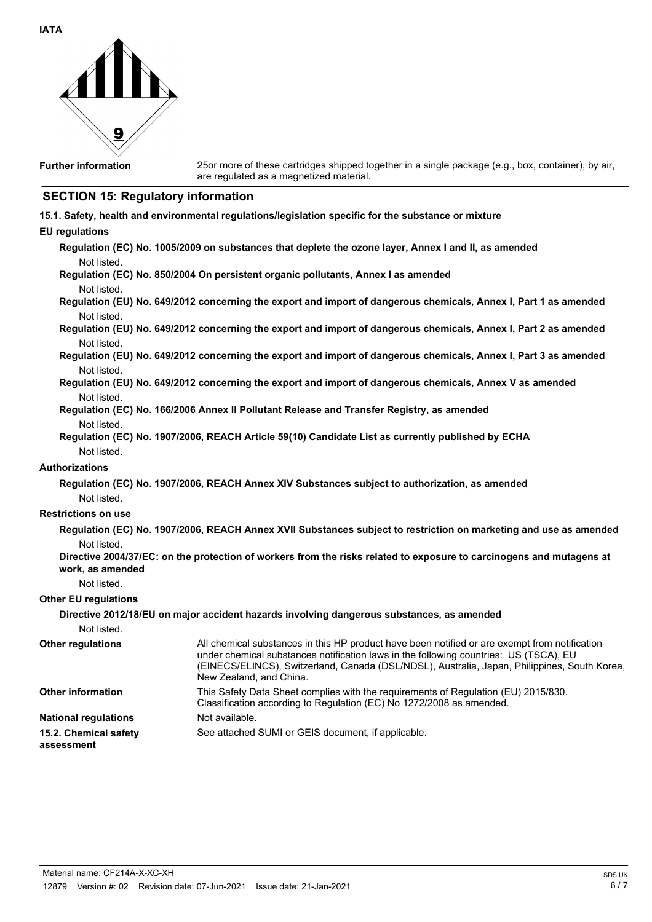

25or more of these cartridges shipped together in a single package (e.g., box, container), by air, are regulated as a magnetized material.

# **SECTION 15: Regulatory information**

|  |  |  |  | 15.1. Safety, health and environmental regulations/legislation specific for the substance or mixture |
|--|--|--|--|------------------------------------------------------------------------------------------------------|
|  |  |  |  |                                                                                                      |

## **EU regulations**

| Not listed.                         | Regulation (EC) No. 1005/2009 on substances that deplete the ozone layer, Annex I and II, as amended                                                                                                                                                                                                              |
|-------------------------------------|-------------------------------------------------------------------------------------------------------------------------------------------------------------------------------------------------------------------------------------------------------------------------------------------------------------------|
|                                     | Regulation (EC) No. 850/2004 On persistent organic pollutants, Annex I as amended                                                                                                                                                                                                                                 |
| Not listed.                         |                                                                                                                                                                                                                                                                                                                   |
|                                     | Regulation (EU) No. 649/2012 concerning the export and import of dangerous chemicals, Annex I, Part 1 as amended                                                                                                                                                                                                  |
| Not listed.                         |                                                                                                                                                                                                                                                                                                                   |
| Not listed.                         | Regulation (EU) No. 649/2012 concerning the export and import of dangerous chemicals, Annex I, Part 2 as amended                                                                                                                                                                                                  |
|                                     | Regulation (EU) No. 649/2012 concerning the export and import of dangerous chemicals, Annex I, Part 3 as amended                                                                                                                                                                                                  |
| Not listed.                         |                                                                                                                                                                                                                                                                                                                   |
| Not listed.                         | Regulation (EU) No. 649/2012 concerning the export and import of dangerous chemicals, Annex V as amended                                                                                                                                                                                                          |
|                                     | Regulation (EC) No. 166/2006 Annex II Pollutant Release and Transfer Registry, as amended                                                                                                                                                                                                                         |
| Not listed.                         |                                                                                                                                                                                                                                                                                                                   |
| Not listed.                         | Regulation (EC) No. 1907/2006, REACH Article 59(10) Candidate List as currently published by ECHA                                                                                                                                                                                                                 |
| Authorizations                      |                                                                                                                                                                                                                                                                                                                   |
|                                     | Regulation (EC) No. 1907/2006, REACH Annex XIV Substances subject to authorization, as amended                                                                                                                                                                                                                    |
| Not listed.                         |                                                                                                                                                                                                                                                                                                                   |
| <b>Restrictions on use</b>          |                                                                                                                                                                                                                                                                                                                   |
|                                     | Regulation (EC) No. 1907/2006, REACH Annex XVII Substances subject to restriction on marketing and use as amended                                                                                                                                                                                                 |
| Not listed.                         |                                                                                                                                                                                                                                                                                                                   |
| work, as amended                    | Directive 2004/37/EC: on the protection of workers from the risks related to exposure to carcinogens and mutagens at                                                                                                                                                                                              |
| Not listed.                         |                                                                                                                                                                                                                                                                                                                   |
| <b>Other EU regulations</b>         |                                                                                                                                                                                                                                                                                                                   |
|                                     | Directive 2012/18/EU on major accident hazards involving dangerous substances, as amended                                                                                                                                                                                                                         |
| Not listed.                         |                                                                                                                                                                                                                                                                                                                   |
| Other regulations                   | All chemical substances in this HP product have been notified or are exempt from notification<br>under chemical substances notification laws in the following countries: US (TSCA), EU<br>(EINECS/ELINCS), Switzerland, Canada (DSL/NDSL), Australia, Japan, Philippines, South Korea,<br>New Zealand, and China. |
| <b>Other information</b>            | This Safety Data Sheet complies with the requirements of Regulation (EU) 2015/830.<br>Classification according to Regulation (EC) No 1272/2008 as amended.                                                                                                                                                        |
| <b>National regulations</b>         | Not available.                                                                                                                                                                                                                                                                                                    |
| 15.2. Chemical safety<br>assessment | See attached SUMI or GEIS document, if applicable.                                                                                                                                                                                                                                                                |
|                                     |                                                                                                                                                                                                                                                                                                                   |